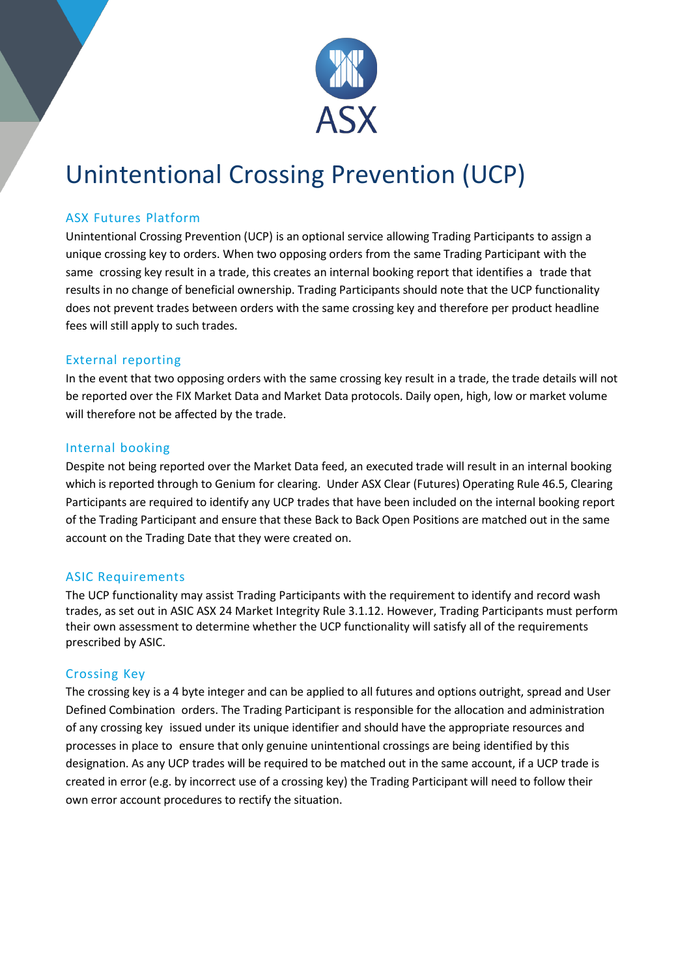

# Unintentional Crossing Prevention (UCP)

# ASX Futures Platform

Unintentional Crossing Prevention (UCP) is an optional service allowing Trading Participants to assign a unique crossing key to orders. When two opposing orders from the same Trading Participant with the same crossing key result in a trade, this creates an internal booking report that identifies a trade that results in no change of beneficial ownership. Trading Participants should note that the UCP functionality does not prevent trades between orders with the same crossing key and therefore per product headline fees will still apply to such trades.

### External reporting

In the event that two opposing orders with the same crossing key result in a trade, the trade details will not be reported over the FIX Market Data and Market Data protocols. Daily open, high, low or market volume will therefore not be affected by the trade.

### Internal booking

Despite not being reported over the Market Data feed, an executed trade will result in an internal booking which is reported through to Genium for clearing. Under ASX Clear (Futures) Operating Rule 46.5, Clearing Participants are required to identify any UCP trades that have been included on the internal booking report of the Trading Participant and ensure that these Back to Back Open Positions are matched out in the same account on the Trading Date that they were created on.

# ASIC Requirements

The UCP functionality may assist Trading Participants with the requirement to identify and record wash trades, as set out in ASIC ASX 24 Market Integrity Rule 3.1.12. However, Trading Participants must perform their own assessment to determine whether the UCP functionality will satisfy all of the requirements prescribed by ASIC.

# Crossing Key

The crossing key is a 4 byte integer and can be applied to all futures and options outright, spread and User Defined Combination orders. The Trading Participant is responsible for the allocation and administration of any crossing key issued under its unique identifier and should have the appropriate resources and processes in place to ensure that only genuine unintentional crossings are being identified by this designation. As any UCP trades will be required to be matched out in the same account, if a UCP trade is created in error (e.g. by incorrect use of a crossing key) the Trading Participant will need to follow their own error account procedures to rectify the situation.